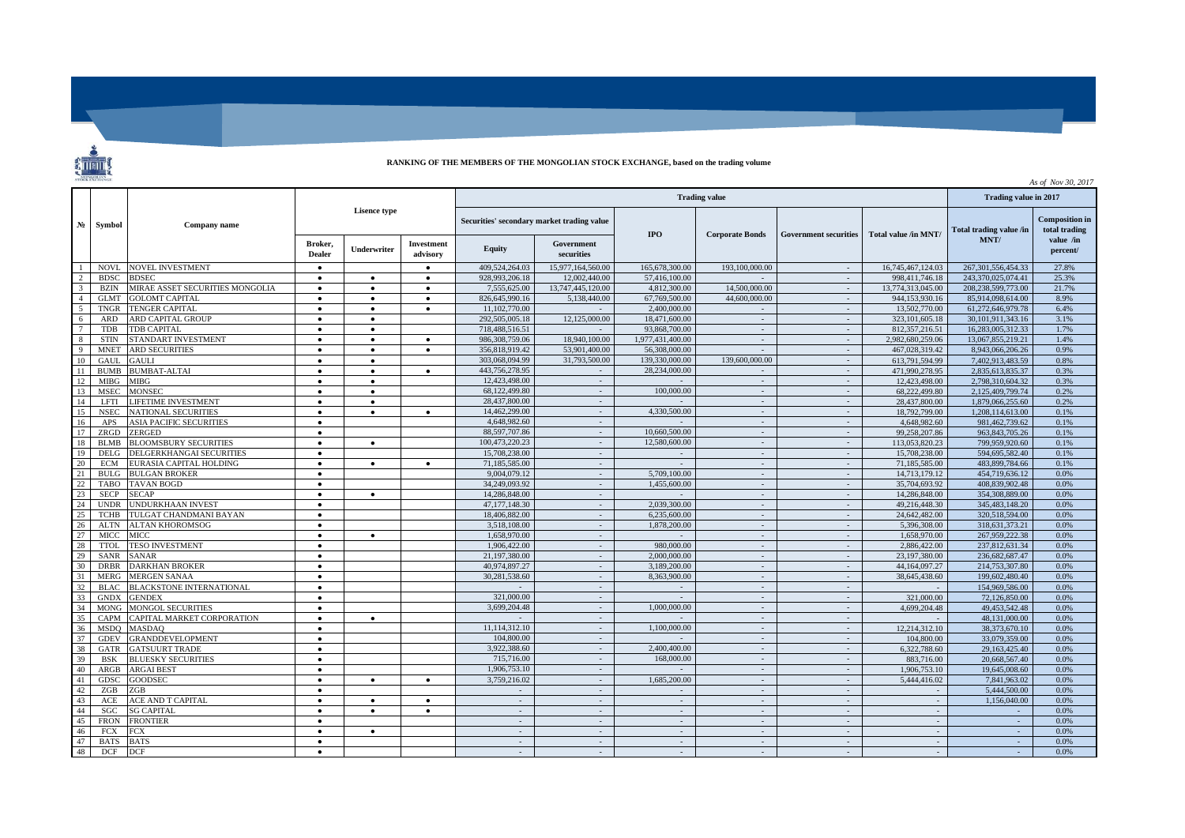## **RANKING OF THE MEMBERS OF THE MONGOLIAN STOCK EXCHANGE, based on the trading volume**

| <b>STOCK EXCHANGE</b><br>As of Nov 30, 2017 |                            |                                               |                        |                    |                                            |                              |                          |                        |                              |                      |                                 |                                                     |              |  |
|---------------------------------------------|----------------------------|-----------------------------------------------|------------------------|--------------------|--------------------------------------------|------------------------------|--------------------------|------------------------|------------------------------|----------------------|---------------------------------|-----------------------------------------------------|--------------|--|
|                                             | Symbol                     | Company name                                  | <b>Lisence type</b>    |                    | <b>Trading value</b>                       |                              |                          |                        |                              |                      |                                 | Trading value in 2017                               |              |  |
| $N_2$                                       |                            |                                               |                        |                    | Securities' secondary market trading value |                              | <b>IPO</b>               | <b>Corporate Bonds</b> | <b>Government securities</b> | Total value /in MNT/ | Total trading value /in<br>MNT/ | <b>Composition in</b><br>total trading<br>value /in |              |  |
|                                             |                            |                                               | Broker.<br>Dealer      | <b>Underwriter</b> | <b>Investment</b><br>advisory              | Equity                       | Government<br>securities |                        |                              |                      |                                 |                                                     | percent/     |  |
|                                             | <b>NOVL</b>                | <b>NOVEL INVESTMENT</b>                       | $\bullet$              |                    | $\bullet$                                  | 409.524.264.03               | 15,977,164,560,00        | 165,678,300.00         | 193,100,000.00               | $\sim$               | 16,745,467,124.03               | 267, 301, 556, 454. 33                              | 27.8%        |  |
|                                             | <b>BDSC</b>                | <b>BDSEC</b>                                  | $\bullet$              | $\bullet$          | $\bullet$                                  | 928,993,206.18               | 12,002,440.00            | 57,416,100.00          |                              |                      | 998.411.746.18                  | 243.370.025.074.41                                  | 25.3%        |  |
| $\overline{3}$                              | <b>BZIN</b>                | MIRAE ASSET SECURITIES MONGOLIA               | $\bullet$              | $\bullet$          | $\bullet$                                  | 7.555,625.00                 | 13,747,445,120.00        | 4,812,300,00           | 14,500,000,00                | $\sim$               | 13.774.313.045.00               | 208.238.599.773.00                                  | 21.7%        |  |
| $\overline{a}$                              | <b>GLMT</b>                | <b>GOLOMT CAPITAL</b>                         | $\bullet$              | $\bullet$          | $\bullet$                                  | 826.645.990.16               | 5.138,440.00             | 67,769,500,00          | 44.600.000.00                | $\sim$ $-$           | 944,153,930.16                  | 85,914,098,614.00                                   | 8.9%         |  |
| 5                                           | <b>TNGR</b>                | <b>TENGER CAPITAL</b>                         | $\bullet$              | $\bullet$          | $\bullet$                                  | 11.102.770.00                |                          | 2.400.000.00           |                              |                      | 13,502,770.00                   | 61.272.646.979.78                                   | 6.4%         |  |
| 6                                           | <b>ARD</b>                 | ARD CAPITAL GROUP                             | $\bullet$              | $\bullet$          |                                            | 292,505,005.18               | 12,125,000.00            | 18,471,600.00          | $\sim$                       | $\sim$               | 323, 101, 605, 18               | 30,101,911,343.16                                   | 3.1%         |  |
|                                             | TDB                        | TDB CAPITAL                                   | $\bullet$              | $\bullet$          |                                            | 718,488,516.51               |                          | 93,868,700.00          | $\sim$                       | $\sim$               | 812,357,216.51                  | 16,283,005,312.33                                   | 1.7%         |  |
| -8                                          | <b>STIN</b>                | STANDART INVESTMENT                           | $\bullet$              | $\bullet$          | $\bullet$                                  | 986.308.759.06               | 18,940,100,00            | 1,977,431,400.00       | $\omega$                     | $\sim$               | 2,982,680,259,06                | 13.067.855.219.21                                   | 1.4%         |  |
| 9                                           | <b>MNET</b>                | <b>ARD SECURITIES</b>                         | $\bullet$              | $\bullet$          | $\bullet$                                  | 356,818,919.42               | 53,901,400.00            | 56,308,000,00          | i.                           | $\sim$               | 467.028.319.42                  | 8.943.066.206.26                                    | 0.9%         |  |
| 10                                          | <b>GAUL</b>                | <b>GAULI</b>                                  | $\bullet$              | $\bullet$          |                                            | 303,068,094.99               | 31,793,500.00            | 139,330,000.00         | 139,600,000.00               | $\sim$               | 613,791,594.99                  | 7.402.913.483.59                                    | 0.8%         |  |
| 11                                          | <b>BUMB</b>                | <b>BUMBAT ALTAI</b>                           | $\bullet$              | $\bullet$          | $\bullet$                                  | 443.756.278.95               |                          | 28,234,000.00          |                              |                      | 471,990,278.95                  | 2,835,613,835,37                                    | 0.3%         |  |
| 12                                          | <b>MIBG</b>                | <b>MIBG</b>                                   | $\bullet$              | $\bullet$          |                                            | 12,423,498.00                | $\sim$                   |                        | $\sim$                       | $\sim$               | 12.423.498.00                   | 2.798.310.604.32                                    | 0.3%         |  |
| 13                                          | <b>MSEC</b>                | <b>MONSEC</b>                                 | $\bullet$              | $\bullet$          |                                            | 68,122,499.80                | $\sim$                   | 100,000.00             | $\sim$                       | $\sim$               | 68,222,499.80                   | 2,125,409,799.74                                    | 0.2%         |  |
| 14                                          | LFTI                       | <b>LIFETIME INVESTMENT</b>                    | $\bullet$              | $\bullet$          |                                            | 28,437,800.00                | $\overline{\phantom{a}}$ |                        | $\omega$                     | $\sim$               | 28,437,800,00                   | 1,879,066,255.60                                    | 0.2%         |  |
| 15                                          | <b>NSEC</b>                | <b>NATIONAL SECURITIES</b>                    | $\bullet$              | $\bullet$          | $\bullet$                                  | 14.462.299.00                | $\sim$                   | 4.330.500.00           | $\sim$                       | $\sim$               | 18,792,799.00                   | 1.208.114.613.00                                    | 0.1%         |  |
| 16                                          | APS                        | <b>ASIA PACIFIC SECURITIES</b>                | $\bullet$              |                    |                                            | 4,648,982.60                 | $\sim$                   |                        | $\sim$                       | $\sim$               | 4,648,982.60                    | 981.462.739.62                                      | 0.1%         |  |
| 17                                          | <b>ZRGD</b>                | <b>ZERGED</b>                                 | $\bullet$              |                    |                                            | 88,597,707.86                |                          | 10,660,500,00          | $\sim$                       |                      | 99.258.207.86                   | 963.843.705.26                                      | 0.1%         |  |
| 18                                          | <b>BLMB</b>                | <b>BLOOMSBURY SECURITIES</b>                  | $\bullet$              | $\bullet$          |                                            | 100.473.220.23               | $\sim$                   | 12.580.600.00          | $\sim$                       | $\sim$               | 113,053,820.23                  | 799.959.920.60                                      | 0.1%         |  |
| 19                                          | DELG                       | DELGERKHANGAI SECURITIES                      | $\bullet$              |                    |                                            | 15,708,238,00                | $\sim$                   | $\sim$                 | $\sim$                       | $\sim$               | 15.708.238.00                   | 594.695.582.40                                      | 0.1%         |  |
| 20                                          | <b>ECM</b>                 | EURASIA CAPITAL HOLDING                       | $\bullet$              | $\bullet$          | $\bullet$                                  | 71.185.585.00                | $\sim$                   |                        | $\omega$                     | $\sim$               | 71.185.585.00                   | 483,899,784.66                                      | 0.1%         |  |
| 21                                          | <b>BULG</b>                | <b>BULGAN BROKER</b>                          | $\bullet$              |                    |                                            | 9,004,079.12                 | $\sim$                   | 5,709,100.00           | $\sim$                       | $\sim$               | 14,713,179.12                   | 454,719,636.12                                      | 0.0%         |  |
| 22                                          | TABO                       | TAVAN BOGD                                    | $\bullet$              |                    |                                            | 34.249.093.92                | $\sim$                   | 1.455,600.00           | $\sim$                       | $\sim$               | 35,704,693.92                   | 408.839.902.48                                      | 0.0%         |  |
| 23                                          | <b>SECP</b>                | <b>SECAP</b>                                  | $\bullet$              | $\bullet$          |                                            | 14,286,848.00                |                          |                        | $\omega$                     |                      | 14,286,848,00                   | 354,308,889,00                                      | 0.0%         |  |
| 24                                          | <b>UNDR</b>                | <b>UNDURKHAAN INVEST</b>                      | $\bullet$              |                    |                                            | 47,177,148.30                | $\sim$                   | 2.039.300.00           | $\sim$                       | $\sim$               | 49.216.448.30                   | 345,483,148.20                                      | 0.0%         |  |
| 25                                          | <b>TCHB</b>                | TULGAT CHANDMANI BAYAN                        | $\bullet$              |                    |                                            | 18,406,882.00                | $\sim$                   | 6.235,600.00           | $\sim$                       | $\sim$               | 24,642,482.00                   | 320.518.594.00                                      | 0.0%         |  |
| 26                                          | <b>ALTN</b>                | <b>ALTAN KHOROMSOG</b>                        | $\bullet$              |                    |                                            | 3.518.108.00<br>1,658,970.00 | $\sim$<br>$\sim$         | 1.878.200.00           | $\sim$<br>$\sim$             | $\sim$<br>$\sim$     | 5.396.308.00                    | 318.631.373.21                                      | 0.0%         |  |
| 27<br>28                                    | <b>MICC</b><br><b>TTOL</b> | <b>MICC</b>                                   | $\bullet$              | $\bullet$          |                                            | 1,906,422.00                 |                          | 980,000,00             |                              |                      | 1,658,970.00<br>2.886,422.00    | 267,959,222.38<br>237.812.631.34                    | 0.0%<br>0.0% |  |
| 29                                          | <b>SANR</b>                | <b><i>TESO INVESTMENT</i></b><br><b>SANAR</b> | $\bullet$<br>$\bullet$ |                    |                                            | 21,197,380,00                | $\sim$                   | 2,000,000.00           | $\sim$<br>$\omega$           | $\sim$               | 23,197,380,00                   | 236,682,687.47                                      | 0.0%         |  |
| 30                                          | <b>DRBR</b>                | <b>DARKHAN BROKER</b>                         | $\bullet$              |                    |                                            | 40,974,897.27                | $\sim$                   | 3.189.200.00           | $\sim$                       | $\sim$<br>$\sim$     | 44,164,097.27                   | 214,753,307.80                                      | 0.0%         |  |
| 31                                          | <b>MERG</b>                | <b>MERGEN SANAA</b>                           | $\bullet$              |                    |                                            | 30.281.538.60                | $\sim$                   | 8.363.900.00           | $\sim$                       | $\sim$               | 38,645,438.60                   | 199,602,480.40                                      | 0.0%         |  |
| 32                                          | BLAC.                      | <b>BLACKSTONE INTERNATIONAL</b>               | $\bullet$              |                    |                                            |                              | $\sim$                   |                        | $\sim$                       | $\sim$               |                                 | 154,969,586.00                                      | 0.0%         |  |
| 33                                          | <b>GNDX</b>                | <b>GENDEX</b>                                 | $\bullet$              |                    |                                            | 321,000.00                   | $\sim$                   | $\sim$                 | $\sim$                       | $\sim$               | 321,000,00                      | 72,126,850.00                                       | 0.0%         |  |
| 34                                          | <b>MONG</b>                | <b>MONGOL SECURITIES</b>                      | $\bullet$              |                    |                                            | 3,699,204.48                 | $\sim$                   | 1,000,000.00           | $\sim$                       | $\sim$               | 4,699,204.48                    | 49.453.542.48                                       | 0.0%         |  |
| 35                                          | CAPM                       | CAPITAL MARKET CORPORATION                    | $\bullet$              | $\bullet$          |                                            |                              | $\sim$                   |                        | $\sim$                       | $\sim$               |                                 | 48,131,000.00                                       | 0.0%         |  |
| 36                                          | <b>MSDO</b>                | <b>MASDAO</b>                                 | $\bullet$              |                    |                                            | 11,114,312.10                | $\sim$                   | 1,100,000.00           | $\sim$                       | $\sim$               | 12.214.312.10                   | 38,373,670.10                                       | 0.0%         |  |
| 37                                          | <b>GDEV</b>                | <b>GRANDDEVELOPMENT</b>                       | $\bullet$              |                    |                                            | 104,800.00                   | $\sim$                   |                        | $\sim$                       | $\sim$               | 104,800.00                      | 33,079,359,00                                       | 0.0%         |  |
| 38                                          | <b>GATR</b>                | <b>GATSUURT TRADE</b>                         | $\bullet$              |                    |                                            | 3.922.388.60                 | $\sim$                   | 2.400.400.00           | $\sim$                       | $\sim$               | 6,322,788.60                    | 29.163.425.40                                       | 0.0%         |  |
| 39                                          | <b>BSK</b>                 | <b>BLUESKY SECURITIES</b>                     | $\bullet$              |                    |                                            | 715,716.00                   | $\sim$                   | 168,000.00             | $\sim$                       | $\sim$               | 883,716.00                      | 20,668,567.40                                       | 0.0%         |  |
| 40                                          | ARGB                       | <b>ARGAI BEST</b>                             | $\bullet$              |                    |                                            | 1,906,753.10                 | $\sim$                   |                        | $\sim$                       | $\sim$               | 1.906.753.10                    | 19,645,008.60                                       | 0.0%         |  |
| 41                                          | GDSC                       | <b>GOODSEC</b>                                | $\bullet$              | $\bullet$          | $\bullet$                                  | 3,759,216.02                 | $\sim$                   | 1,685,200.00           | $\sim$                       | $\sim$               | 5,444,416.02                    | 7,841,963.02                                        | 0.0%         |  |
| 42                                          | ZGB                        | ZGB                                           | $\bullet$              |                    |                                            |                              |                          |                        | $\sim$                       | $\sim$               |                                 | 5,444,500.00                                        | 0.0%         |  |
| 43                                          | ACE                        | ACE AND T CAPITAL                             | $\bullet$              | $\bullet$          | $\bullet$                                  | $\sim$                       | $\sim$                   | $\sim$                 | $\sim$                       | $\sim$               | $\sim$                          | 1.156.040.00                                        | 0.0%         |  |
| 44                                          | SGC                        | <b>SG CAPITAL</b>                             | $\bullet$              | $\bullet$          | $\bullet$                                  | $\sim$                       | $\sim$                   | $\sim$                 | $\sim$                       | $\sim$               | - 11                            | $\sim$                                              | 0.0%         |  |
| 45                                          | <b>FRON</b>                | <b>FRONTIER</b>                               | $\bullet$              |                    |                                            |                              |                          | $\sim$                 | $\sim$                       | $\sim$               |                                 |                                                     | 0.0%         |  |
| 46                                          | <b>FCX</b>                 | <b>FCX</b>                                    | $\bullet$              | $\bullet$          |                                            | $\sim$                       | $\sim$                   | $\sim$                 | $\sim$                       | $\sim$               | $\sim$                          | $\sim$                                              | 0.0%         |  |
| 47                                          | <b>BATS</b>                | <b>BATS</b>                                   | $\bullet$              |                    |                                            | $\sim$                       | $\sim$                   | $\sim$                 | $\sim$                       | $\sim$               |                                 |                                                     | 0.0%         |  |
| 48                                          | <b>DCF</b>                 | DCF                                           |                        |                    |                                            |                              |                          |                        | ä,                           | $\sim$               |                                 |                                                     | 0.0%         |  |